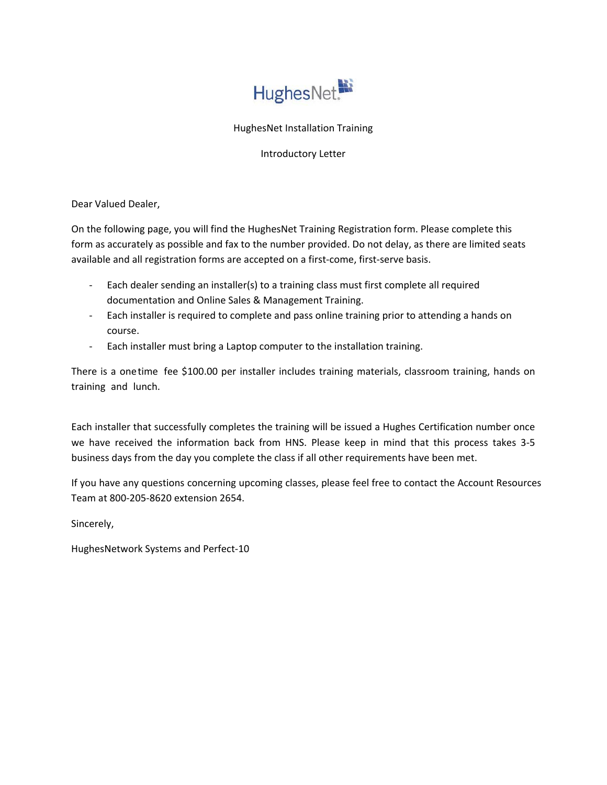

## HughesNet Installation Training

### Introductory Letter

Dear Valued Dealer,

On the following page, you will find the HughesNet Training Registration form. Please complete this form as accurately as possible and fax to the number provided. Do not delay, as there are limited seats available and all registration forms are accepted on a first‐come, first‐serve basis.

- ‐ Each dealer sending an installer(s) to a training class must first complete all required documentation and Online Sales & Management Training.
- ‐ Each installer is required to complete and pass online training prior to attending a hands on course.
- ‐ Each installer must bring a Laptop computer to the installation training.

There is a onetime fee \$100.00 per installer includes training materials, classroom training, hands on training and lunch.

Each installer that successfully completes the training will be issued a Hughes Certification number once we have received the information back from HNS. Please keep in mind that this process takes 3‐5 business days from the day you complete the class if all other requirements have been met.

If you have any questions concerning upcoming classes, please feel free to contact the Account Resources Team at 800-205‐8620 extension 2654.

Sincerely,

HughesNetwork Systems and Perfect‐10